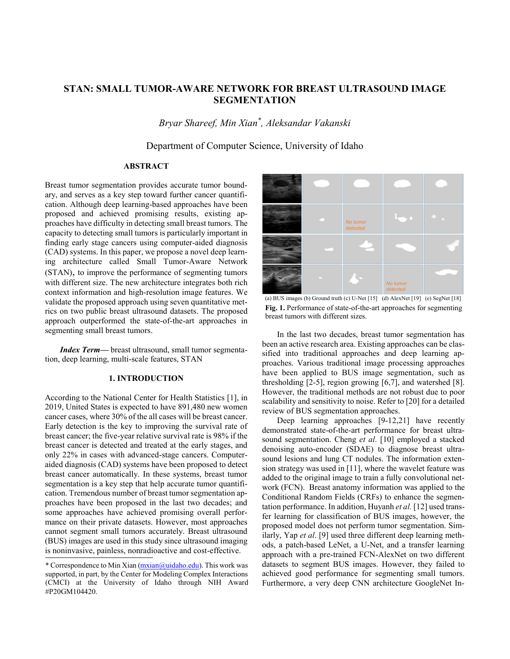# STAN: SMALL TUMOR-AWARE NETWORK FOR BREAST ULTRASOUND IMAGE **SEGMENTATION**

Bryar Shareef, Min Xian\*, Aleksandar Vakanski

Department of Computer Science, University of Idaho

# **ABSTRACT**

Breast tumor segmentation provides accurate tumor boundary, and serves as a key step toward further cancer quantification. Although deep learning-based approaches have been proposed and achieved promising results, existing approaches have difficulty in detecting small breast tumors. The capacity to detecting small tumors is particularly important in finding early stage cancers using computer-aided diagnosis (CAD) systems. In this paper, we propose a novel deep learning architecture called Small Tumor-Aware Network (STAN), to improve the performance of segmenting tumors with different size. The new architecture integrates both rich context information and high-resolution image features. We validate the proposed approach using seven quantitative metrics on two public breast ultrasound datasets. The proposed approach outperformed the state-of-the-art approaches in segmenting small breast tumors.

**Index Term—** breast ultrasound, small tumor segmentation, deep learning, multi-scale features, STAN

### **1. INTRODUCTION**

According to the National Center for Health Statistics [1], in 2019, United States is expected to have 891,480 new women cancer cases, where 30% of the all cases will be breast cancer. Early detection is the key to improving the survival rate of breast cancer; the five-year relative survival rate is 98% if the breast cancer is detected and treated at the early stages, and only 22% in cases with advanced-stage cancers. Computeraided diagnosis (CAD) systems have been proposed to detect breast cancer automatically. In these systems, breast tumor segmentation is a key step that help accurate tumor quantification. Tremendous number of breast tumor segmentation approaches have been proposed in the last two decades; and some approaches have achieved promising overall performance on their private datasets. However, most approaches cannot segment small tumors accurately. Breast ultrasound (BUS) images are used in this study since ultrasound imaging is noninvasive, painless, nonradioactive and cost-effective.



(a) BUS images (b) Ground truth (c) U-Net [15] (d) AlexNet [19] (e) SegNet [18] Fig. 1. Performance of state-of-the-art approaches for segmenting breast tumors with different sizes.

In the last two decades, breast tumor segmentation has been an active research area. Existing approaches can be classified into traditional approaches and deep learning approaches. Various traditional image processing approaches have been applied to BUS image segmentation, such as thresholding  $[2-5]$ , region growing  $[6,7]$ , and watershed  $[8]$ . However, the traditional methods are not robust due to poor scalability and sensitivity to noise. Refer to [20] for a detailed review of BUS segmentation approaches.

Deep learning approaches [9-12,21] have recently demonstrated state-of-the-art performance for breast ultrasound segmentation. Cheng et al. [10] employed a stacked denoising auto-encoder (SDAE) to diagnose breast ultrasound lesions and lung CT nodules. The information extension strategy was used in [11], where the wavelet feature was added to the original image to train a fully convolutional network (FCN). Breast anatomy information was applied to the Conditional Random Fields (CRFs) to enhance the segmentation performance. In addition, Huyanh et al. [12] used transfer learning for classification of BUS images, however, the proposed model does not perform tumor segmentation. Similarly, Yap et al. [9] used three different deep learning methods, a patch-based LeNet, a U-Net, and a transfer learning approach with a pre-trained FCN-AlexNet on two different datasets to segment BUS images. However, they failed to achieved good performance for segmenting small tumors. Furthermore, a very deep CNN architecture GoogleNet In-

<sup>\*</sup> Correspondence to Min Xian (mxian@uidaho.edu). This work was supported, in part, by the Center for Modeling Complex Interactions (CMCI) at the University of Idaho through NIH Award #P20GM104420.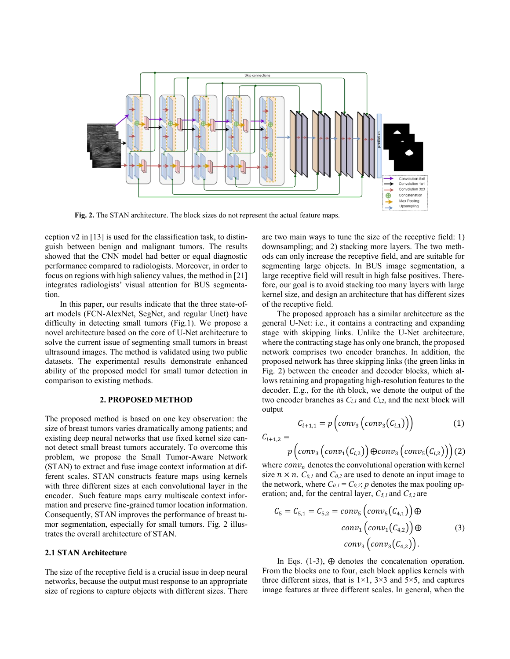

Fig. 2. The STAN architecture. The block sizes do not represent the actual feature maps.

ception  $v2$  in [13] is used for the classification task, to distinguish between benign and malignant tumors. The results showed that the CNN model had better or equal diagnostic performance compared to radiologists. Moreover, in order to focus on regions with high saliency values, the method in [21] integrates radiologists' visual attention for BUS segmentation.

In this paper, our results indicate that the three state-ofart models (FCN-AlexNet, SegNet, and regular Unet) have difficulty in detecting small tumors (Fig.1). We propose a novel architecture based on the core of U-Net architecture to solve the current issue of segmenting small tumors in breast ultrasound images. The method is validated using two public datasets. The experimental results demonstrate enhanced ability of the proposed model for small tumor detection in comparison to existing methods.

### 2. PROPOSED METHOD

The proposed method is based on one key observation: the size of breast tumors varies dramatically among patients; and existing deep neural networks that use fixed kernel size cannot detect small breast tumors accurately. To overcome this problem, we propose the Small Tumor-Aware Network (STAN) to extract and fuse image context information at different scales. STAN constructs feature maps using kernels with three different sizes at each convolutional layer in the encoder. Such feature maps carry multiscale context information and preserve fine-grained tumor location information. Consequently, STAN improves the performance of breast tumor segmentation, especially for small tumors. Fig. 2 illustrates the overall architecture of STAN.

## 2.1 STAN Architecture

The size of the receptive field is a crucial issue in deep neural networks, because the output must response to an appropriate size of regions to capture objects with different sizes. There are two main ways to tune the size of the receptive field:  $1$ ) downsampling; and 2) stacking more layers. The two methods can only increase the receptive field, and are suitable for segmenting large objects. In BUS image segmentation, a large receptive field will result in high false positives. Therefore, our goal is to avoid stacking too many layers with large kernel size, and design an architecture that has different sizes of the receptive field.

The proposed approach has a similar architecture as the general U-Net: *i.e.*, it contains a contracting and expanding stage with skipping links. Unlike the U-Net architecture, where the contracting stage has only one branch, the proposed network comprises two encoder branches. In addition, the proposed network has three skipping links (the green links in Fig. 2) between the encoder and decoder blocks, which allows retaining and propagating high-resolution features to the decoder. E.g., for the *i*th block, we denote the output of the two encoder branches as  $C_{i,l}$  and  $C_{i,2}$ , and the next block will output

$$
C_{i+1,1} = p\left(\text{conv}_3\left(\text{conv}_3\big(C_{i,1}\big)\right)\right) \tag{1}
$$

 $C_{i+1,2} =$ 

$$
p\left( \text{conv}_3\left(\text{conv}_1(\text{C}_{i,2})\right) \oplus \text{conv}_3\left(\text{conv}_5(\text{C}_{i,2})\right)\right) (2)
$$

where  $conv_n$  denotes the convolutional operation with kernel size  $n \times n$ .  $C_{0,l}$  and  $C_{0,2}$  are used to denote an input image to the network, where  $C_{0,l} = C_{0,2}$ ; p denotes the max pooling operation; and, for the central layer,  $C_{5,l}$  and  $C_{5,2}$  are

$$
C_5 = C_{5,1} = C_{5,2} = conv_5\left(conv_5(C_{4,1})\right) \oplus
$$

$$
conv_1\left(conv_1(C_{4,2})\right) \oplus
$$

$$
conv_3\left(conv_3(C_{4,2})\right).
$$

$$
(3)
$$

In Eqs.  $(1-3)$ ,  $\oplus$  denotes the concatenation operation. From the blocks one to four, each block applies kernels with three different sizes, that is  $1\times1$ ,  $3\times3$  and  $5\times5$ , and captures image features at three different scales. In general, when the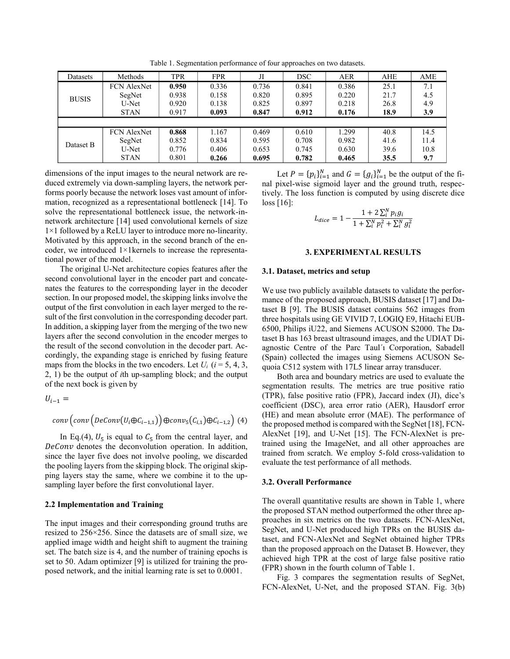| Datasets     | Methods            | <b>TPR</b> | <b>FPR</b> | Л     | <b>DSC</b> | <b>AER</b> | AHE  | AME  |
|--------------|--------------------|------------|------------|-------|------------|------------|------|------|
| <b>BUSIS</b> | <b>FCN AlexNet</b> | 0.950      | 0.336      | 0.736 | 0.841      | 0.386      | 25.1 | 7.1  |
|              | SegNet             | 0.938      | 0.158      | 0.820 | 0.895      | 0.220      | 21.7 | 4.5  |
|              | U-Net              | 0.920      | 0.138      | 0.825 | 0.897      | 0.218      | 26.8 | 4.9  |
|              | <b>STAN</b>        | 0.917      | 0.093      | 0.847 | 0.912      | 0.176      | 18.9 | 3.9  |
|              |                    |            |            |       |            |            |      |      |
|              |                    |            |            |       |            |            |      |      |
|              | <b>FCN</b> AlexNet | 0.868      | 1.167      | 0.469 | 0.610      | 1.299      | 40.8 | 14.5 |
|              | SegNet             | 0.852      | 0.834      | 0.595 | 0.708      | 0.982      | 41.6 | 11.4 |
| Dataset B    | U-Net              | 0.776      | 0.406      | 0.653 | 0.745      | 0.630      | 39.6 | 10.8 |
|              | <b>STAN</b>        | 0.801      | 0.266      | 0.695 | 0.782      | 0.465      | 35.5 | 9.7  |

Table 1. Segmentation performance of four approaches on two datasets.

dimensions of the input images to the neural network are reduced extremely via down-sampling layers, the network performs poorly because the network loses vast amount of information, recognized as a representational bottleneck [14]. To solve the representational bottleneck issue, the network-innetwork architecture [14] used convolutional kernels of size  $1\times1$  followed by a ReLU layer to introduce more no-linearity. Motivated by this approach, in the second branch of the encoder, we introduced  $1 \times 1$  kernels to increase the representational power of the model.

The original U-Net architecture copies features after the second convolutional layer in the encoder part and concatenates the features to the corresponding layer in the decoder section. In our proposed model, the skipping links involve the output of the first convolution in each layer merged to the result of the first convolution in the corresponding decoder part. In addition, a skipping layer from the merging of the two new layers after the second convolution in the encoder merges to the result of the second convolution in the decoder part. Accordingly, the expanding stage is enriched by fusing feature maps from the blocks in the two encoders. Let  $U_i$  ( $i = 5, 4, 3$ , 2, 1) be the output of *i*th up-sampling block; and the output of the next bock is given by

$$
U_{i-1} = \nconv\left(\nconv\left(\nDeConv\left(U_i \oplus C_{i-1,1}\right)\right) \oplus conv_5\left(C_{i,1}\right) \oplus C_{i-1,2}\right)\n\tag{4}
$$

In Eq.(4),  $U_5$  is equal to  $C_5$  from the central layer, and DeConv denotes the deconvolution operation. In addition, since the layer five does not involve pooling, we discarded the pooling layers from the skipping block. The original skipping layers stay the same, where we combine it to the upsampling layer before the first convolutional layer.

#### 2.2 Implementation and Training

The input images and their corresponding ground truths are resized to  $256 \times 256$ . Since the datasets are of small size, we applied image width and height shift to augment the training set. The batch size is 4, and the number of training epochs is set to 50. Adam optimizer [9] is utilized for training the proposed network, and the initial learning rate is set to 0.0001.

Let  $P = \{p_i\}_{i=1}^N$  and  $G = \{g_i\}_{i=1}^N$  be the output of the final pixel-wise sigmoid layer and the ground truth, respectively. The loss function is computed by using discrete dice loss  $[16]$ :

$$
L_{dice} = 1 - \frac{1 + 2\sum_{i}^{N} p_{i}g_{i}}{1 + \sum_{i}^{N} p_{i}^{2} + \sum_{i}^{N} g_{i}^{2}}
$$

### 3. EXPERIMENTAL RESULTS

#### 3.1. Dataset, metrics and setup

We use two publicly available datasets to validate the performance of the proposed approach, BUSIS dataset [17] and Dataset B [9]. The BUSIS dataset contains 562 images from three hospitals using GE VIVID 7, LOGIQ E9, Hitachi EUB-6500, Philips iU22, and Siemens ACUSON S2000. The Dataset B has 163 breast ultrasound images, and the UDIAT Diagnostic Centre of the Parc Taul'ı Corporation, Sabadell (Spain) collected the images using Siemens ACUSON Sequoia C512 system with 17L5 linear array transducer.

Both area and boundary metrics are used to evaluate the segmentation results. The metrics are true positive ratio (TPR), false positive ratio (FPR), Jaccard index (JI), dice's coefficient (DSC), area error ratio (AER), Hausdorf error (HE) and mean absolute error (MAE). The performance of the proposed method is compared with the SegNet [18], FCN-AlexNet [19], and U-Net [15]. The FCN-AlexNet is pretrained using the ImageNet, and all other approaches are trained from scratch. We employ 5-fold cross-validation to evaluate the test performance of all methods.

### 3.2. Overall Performance

The overall quantitative results are shown in Table 1, where the proposed STAN method outperformed the other three approaches in six metrics on the two datasets. FCN-AlexNet, SegNet, and U-Net produced high TPRs on the BUSIS dataset, and FCN-AlexNet and SegNet obtained higher TPRs than the proposed approach on the Dataset B. However, they achieved high TPR at the cost of large false positive ratio (FPR) shown in the fourth column of Table 1.

Fig. 3 compares the segmentation results of SegNet, FCN-AlexNet, U-Net, and the proposed STAN. Fig. 3(b)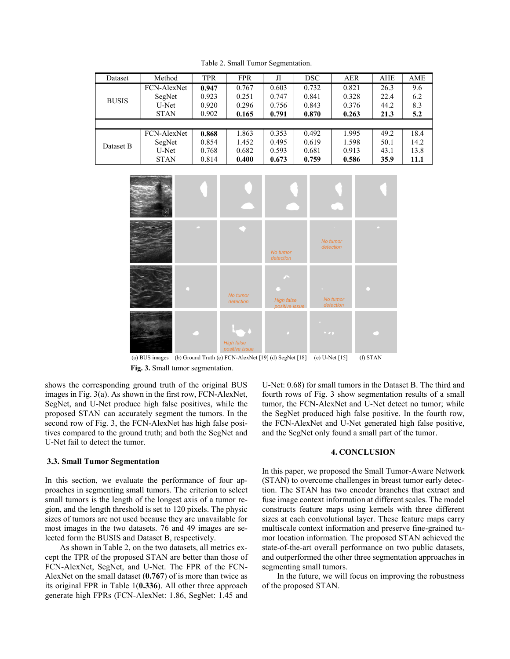| Dataset      | Method      | <b>TPR</b> | <b>FPR</b> | Л     | <b>DSC</b> | <b>AER</b> | <b>AHE</b> | AME  |
|--------------|-------------|------------|------------|-------|------------|------------|------------|------|
| <b>BUSIS</b> | FCN-AlexNet | 0.947      | 0.767      | 0.603 | 0.732      | 0.821      | 26.3       | 9.6  |
|              | SegNet      | 0.923      | 0.251      | 0.747 | 0.841      | 0.328      | 22.4       | 6.2  |
|              | U-Net       | 0.920      | 0.296      | 0.756 | 0.843      | 0.376      | 44.2       | 8.3  |
|              | <b>STAN</b> | 0.902      | 0.165      | 0.791 | 0.870      | 0.263      | 21.3       | 5.2  |
|              |             |            |            |       |            |            |            |      |
| Dataset B    | FCN-AlexNet | 0.868      | 1.863      | 0.353 | 0.492      | 1.995      | 49.2       | 18.4 |
|              | SegNet      | 0.854      | 1.452      | 0.495 | 0.619      | 1.598      | 50.1       | 14.2 |
|              | U-Net       | 0.768      | 0.682      | 0.593 | 0.681      | 0.913      | 43.1       | 13.8 |
|              | <b>STAN</b> | 0.814      | 0.400      | 0.673 | 0.759      | 0.586      | 35.9       | 11.1 |
|              |             |            |            |       |            |            |            |      |
|              |             |            |            |       |            |            |            |      |
|              |             |            |            |       |            |            |            |      |

Table 2. Small Tumor Segmentation.



(a) BUS images (b) Ground Truth (c) FCN-AlexNet [19] (d) SegNet [18] (e) U-Net [15]  $(f) STAN$ Fig. 3. Small tumor segmentation.

shows the corresponding ground truth of the original BUS images in Fig. 3(a). As shown in the first row, FCN-AlexNet, SegNet, and U-Net produce high false positives, while the proposed STAN can accurately segment the tumors. In the second row of Fig. 3, the FCN-AlexNet has high false positives compared to the ground truth; and both the SegNet and U-Net fail to detect the tumor.

#### 3.3. Small Tumor Segmentation

In this section, we evaluate the performance of four approaches in segmenting small tumors. The criterion to select small tumors is the length of the longest axis of a tumor region, and the length threshold is set to 120 pixels. The physic sizes of tumors are not used because they are unavailable for most images in the two datasets. 76 and 49 images are selected form the BUSIS and Dataset B, respectively.

As shown in Table 2, on the two datasets, all metrics except the TPR of the proposed STAN are better than those of FCN-AlexNet, SegNet, and U-Net. The FPR of the FCN-AlexNet on the small dataset  $(0.767)$  of is more than twice as its original FPR in Table  $1(0.336)$ . All other three approach generate high FPRs (FCN-AlexNet: 1.86, SegNet: 1.45 and

U-Net: 0.68) for small tumors in the Dataset B. The third and fourth rows of Fig. 3 show segmentation results of a small tumor, the FCN-AlexNet and U-Net detect no tumor; while the SegNet produced high false positive. In the fourth row, the FCN-AlexNet and U-Net generated high false positive, and the SegNet only found a small part of the tumor.

### **4. CONCLUSION**

In this paper, we proposed the Small Tumor-Aware Network (STAN) to overcome challenges in breast tumor early detection. The STAN has two encoder branches that extract and fuse image context information at different scales. The model constructs feature maps using kernels with three different sizes at each convolutional layer. These feature maps carry multiscale context information and preserve fine-grained tumor location information. The proposed STAN achieved the state-of-the-art overall performance on two public datasets, and outperformed the other three segmentation approaches in segmenting small tumors.

In the future, we will focus on improving the robustness of the proposed STAN.